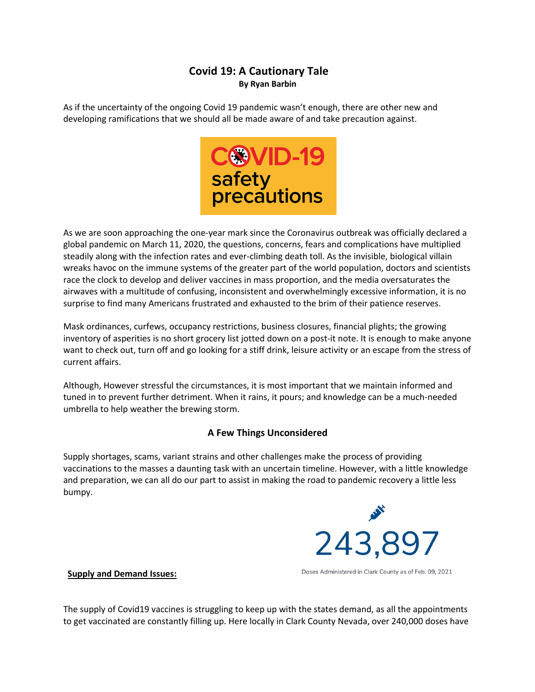# **Covid 19: A Cautionary Tale By Ryan Barbin**

As if the uncertainty of the ongoing Covid 19 pandemic wasn't enough, there are other new and developing ramifications that we should all be made aware of and take precaution against.



As we are soon approaching the one-year mark since the Coronavirus outbreak was officially declared a global pandemic on March 11, 2020, the questions, concerns, fears and complications have multiplied steadily along with the infection rates and ever-climbing death toll. As the invisible, biological villain wreaks havoc on the immune systems of the greater part of the world population, doctors and scientists race the clock to develop and deliver vaccines in mass proportion, and the media oversaturates the airwaves with a multitude of confusing, inconsistent and overwhelmingly excessive information, it is no surprise to find many Americans frustrated and exhausted to the brim of their patience reserves.

Mask ordinances, curfews, occupancy restrictions, business closures, financial plights; the growing inventory of asperities is no short grocery list jotted down on a post-it note. It is enough to make anyone want to check out, turn off and go looking for a stiff drink, leisure activity or an escape from the stress of current affairs.

Although, However stressful the circumstances, it is most important that we maintain informed and tuned in to prevent further detriment. When it rains, it pours; and knowledge can be a much-needed umbrella to help weather the brewing storm.

## **A Few Things Unconsidered**

Supply shortages, scams, variant strains and other challenges make the process of providing vaccinations to the masses a daunting task with an uncertain timeline. However, with a little knowledge and preparation, we can all do our part to assist in making the road to pandemic recovery a little less bumpy.



**Supply and Demand Issues:** 

Doses Administered in Clark County as of Feb. 09, 2021

The supply of Covid19 vaccines is struggling to keep up with the states demand, as all the appointments to get vaccinated are constantly filling up. Here locally in Clark County Nevada, over 240,000 doses have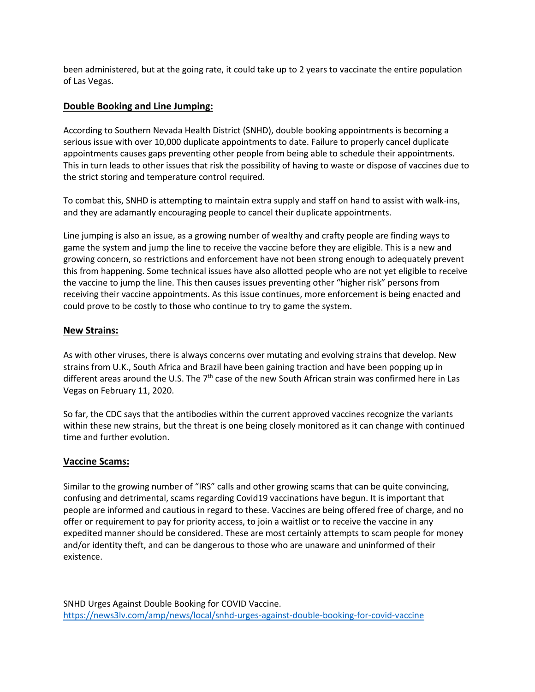been administered, but at the going rate, it could take up to 2 years to vaccinate the entire population of Las Vegas.

## **Double Booking and Line Jumping:**

According to Southern Nevada Health District (SNHD), double booking appointments is becoming a serious issue with over 10,000 duplicate appointments to date. Failure to properly cancel duplicate appointments causes gaps preventing other people from being able to schedule their appointments. This in turn leads to other issues that risk the possibility of having to waste or dispose of vaccines due to the strict storing and temperature control required.

To combat this, SNHD is attempting to maintain extra supply and staff on hand to assist with walk-ins, and they are adamantly encouraging people to cancel their duplicate appointments.

Line jumping is also an issue, as a growing number of wealthy and crafty people are finding ways to game the system and jump the line to receive the vaccine before they are eligible. This is a new and growing concern, so restrictions and enforcement have not been strong enough to adequately prevent this from happening. Some technical issues have also allotted people who are not yet eligible to receive the vaccine to jump the line. This then causes issues preventing other "higher risk" persons from receiving their vaccine appointments. As this issue continues, more enforcement is being enacted and could prove to be costly to those who continue to try to game the system.

#### **New Strains:**

As with other viruses, there is always concerns over mutating and evolving strains that develop. New strains from U.K., South Africa and Brazil have been gaining traction and have been popping up in different areas around the U.S. The 7<sup>th</sup> case of the new South African strain was confirmed here in Las Vegas on February 11, 2020.

So far, the CDC says that the antibodies within the current approved vaccines recognize the variants within these new strains, but the threat is one being closely monitored as it can change with continued time and further evolution.

## **Vaccine Scams:**

Similar to the growing number of "IRS" calls and other growing scams that can be quite convincing, confusing and detrimental, scams regarding Covid19 vaccinations have begun. It is important that people are informed and cautious in regard to these. Vaccines are being offered free of charge, and no offer or requirement to pay for priority access, to join a waitlist or to receive the vaccine in any expedited manner should be considered. These are most certainly attempts to scam people for money and/or identity theft, and can be dangerous to those who are unaware and uninformed of their existence.